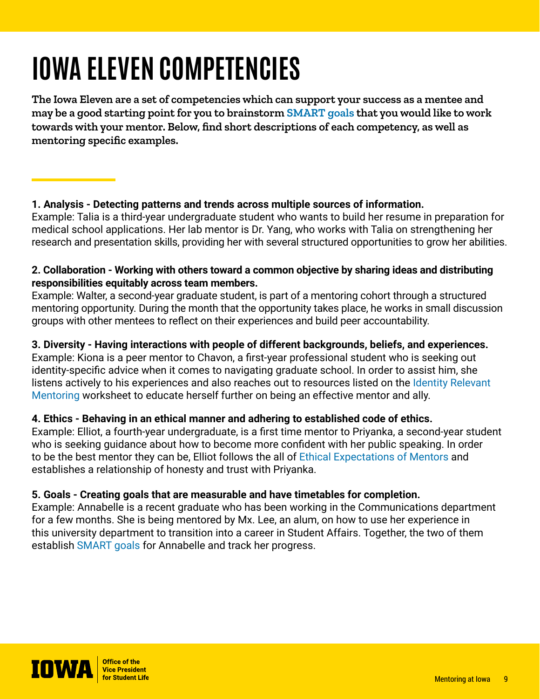# **IOWA ELEVEN COMPETENCIES**

**The Iowa Eleven are a set of competencies which can support your success as a mentee and may be a good starting point for you to brainstorm [SMART goals](https://mentor.uiowa.edu/sites/mentor.uiowa.edu/files/imports/Mentoring-Resources/Creating-Smart-Goals.pdf) that you would like to work towards with your mentor. Below, find short descriptions of each competency, as well as mentoring specific examples.** 

## **1. Analysis - Detecting patterns and trends across multiple sources of information.**

Example: Talia is a third-year undergraduate student who wants to build her resume in preparation for medical school applications. Her lab mentor is Dr. Yang, who works with Talia on strengthening her research and presentation skills, providing her with several structured opportunities to grow her abilities.

## **2. Collaboration - Working with others toward a common objective by sharing ideas and distributing responsibilities equitably across team members.**

Example: Walter, a second-year graduate student, is part of a mentoring cohort through a structured mentoring opportunity. During the month that the opportunity takes place, he works in small discussion groups with other mentees to reflect on their experiences and build peer accountability.

# **3. Diversity - Having interactions with people of different backgrounds, beliefs, and experiences.**

Example: Kiona is a peer mentor to Chavon, a first-year professional student who is seeking out identity-specific advice when it comes to navigating graduate school. In order to assist him, she listens actively to his experiences and also reaches out to resources listed on the Identity Relevant [Mentoring](https://mentor.uiowa.edu/sites/mentor.uiowa.edu/files/imports/Mentoring-Resources/12213-10-8x11-in.-Identity-Relevant-Mentoring.pdf) worksheet to educate herself further on being an effective mentor and ally.

# **4. Ethics - Behaving in an ethical manner and adhering to established code of ethics.**

Example: Elliot, a fourth-year undergraduate, is a first time mentor to Priyanka, a second-year student who is seeking guidance about how to become more confident with her public speaking. In order to be the best mentor they can be, Elliot follows the all of [Ethical Expectations of Mentors](https://mentor.uiowa.edu/sites/mentor.uiowa.edu/files/2021-11/Ethical%20Expectations%20for%20Mentors_0.pdf) and establishes a relationship of honesty and trust with Priyanka.

### **5. Goals - Creating goals that are measurable and have timetables for completion.**

Example: Annabelle is a recent graduate who has been working in the Communications department for a few months. She is being mentored by Mx. Lee, an alum, on how to use her experience in this university department to transition into a career in Student Affairs. Together, the two of them establish [SMART goals](https://mentor.uiowa.edu/sites/mentor.uiowa.edu/files/imports/Mentoring-Resources/Creating-Smart-Goals.pdf) for Annabelle and track her progress.